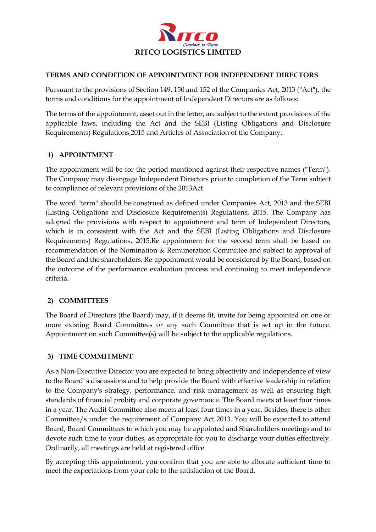

#### **TERMS AND CONDITION OF APPOINTMENT FOR INDEPENDENT DIRECTORS**

Pursuant to the provisions of Section 149, 150 and 152 of the Companies Act, 2013 ("Act"), the terms and conditions for the appointment of Independent Directors are as follows:

The terms of the appointment, asset out in the letter, are subject to the extent provisions of the applicable laws, including the Act and the SEBI (Listing Obligations and Disclosure Requirements) Regulations,2015 and Articles of Association of the Company.

# **1) APPOINTMENT**

The appointment will be for the period mentioned against their respective names ("Term"). The Company may disengage Independent Directors prior to completion of the Term subject to compliance of relevant provisions of the 2013Act.

The word "term" should be construed as defined under Companies Act, 2013 and the SEBI (Listing Obligations and Disclosure Requirements) Regulations, 2015. The Company has adopted the provisions with respect to appointment and term of Independent Directors, which is in consistent with the Act and the SEBI (Listing Obligations and Disclosure Requirements) Regulations, 2015.Re appointment for the second term shall be based on recommendation of the Nomination & Remuneration Committee and subject to approval of the Board and the shareholders. Re-appointment would be considered by the Board, based on the outcome of the performance evaluation process and continuing to meet independence criteria.

# **2) COMMITTEES**

The Board of Directors (the Board) may, if it deems fit, invite for being appointed on one or more existing Board Committees or any such Committee that is set up in the future. Appointment on such Committee(s) will be subject to the applicable regulations.

# **3) TIME COMMITMENT**

As a Non-Executive Director you are expected to bring objectivity and independence of view to the Board' s discussions and to help provide the Board with effective leadership in relation to the Company's strategy, performance, and risk management as well as ensuring high standards of financial probity and corporate governance. The Board meets at least four times in a year. The Audit Committee also meets at least four times in a year. Besides, there is other Committee/s under the requirement of Company Act 2013. You will be expected to attend Board, Board Committees to which you may be appointed and Shareholders meetings and to devote such time to your duties, as appropriate for you to discharge your duties effectively. Ordinarily, all meetings are held at registered office.

By accepting this appointment, you confirm that you are able to allocate sufficient time to meet the expectations from your role to the satisfaction of the Board.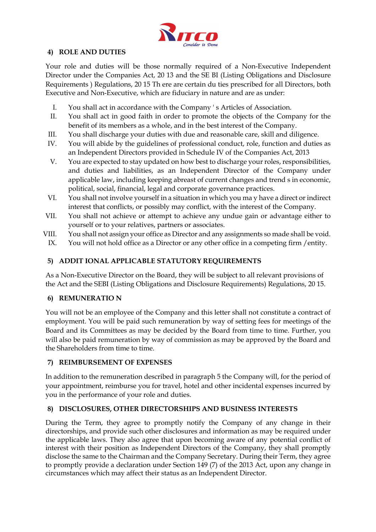

#### **4) ROLE AND DUTIES**

Your role and duties will be those normally required of a Non-Executive Independent Director under the Companies Act, 20 13 and the SE BI (Listing Obligations and Disclosure Requirements ) Regulations, 20 15 Th ere are certain du ties prescribed for all Directors, both Executive and Non-Executive, which are fiduciary in nature and are as under:

- I. You shall act in accordance with the Company ' s Articles of Association.
- II. You shall act in good faith in order to promote the objects of the Company for the benefit of its members as a whole, and in the best interest of the Company.
- III. You shall discharge your duties with due and reasonable care, skill and diligence.
- IV. You will abide by the guidelines of professional conduct, role, function and duties as an Independent Directors provided in Schedule IV of the Companies Act, 2013
- V. You are expected to stay updated on how best to discharge your roles, responsibilities, and duties and liabilities, as an Independent Director of the Company under applicable law, including keeping abreast of current changes and trend s in economic, political, social, financial, legal and corporate governance practices.
- VI. You shall not involve yourself in a situation in which you ma y have a direct or indirect interest that conflicts, or possibly may conflict, with the interest of the Company.
- VII. You shall not achieve or attempt to achieve any undue gain or advantage either to yourself or to your relatives, partners or associates.
- VIII. You shall not assign your office as Director and any assignments so made shall be void.
	- IX. You will not hold office as a Director or any other office in a competing firm /entity.

# **5) ADDIT IONAL APPLICABLE STATUTORY REQUIREMENTS**

As a Non-Executive Director on the Board, they will be subject to all relevant provisions of the Act and the SEBI (Listing Obligations and Disclosure Requirements) Regulations, 20 15.

#### **6) REMUNERATIO N**

You will not be an employee of the Company and this letter shall not constitute a contract of employment. You will be paid such remuneration by way of setting fees for meetings of the Board and its Committees as may be decided by the Board from time to time. Further, you will also be paid remuneration by way of commission as may be approved by the Board and the Shareholders from time to time.

#### **7) REIMBURSEMENT OF EXPENSES**

In addition to the remuneration described in paragraph 5 the Company will, for the period of your appointment, reimburse you for travel, hotel and other incidental expenses incurred by you in the performance of your role and duties.

# **8) DISCLOSURES, OTHER DIRECTORSHIPS AND BUSINESS INTERESTS**

During the Term, they agree to promptly notify the Company of any change in their directorships, and provide such other disclosures and information as may be required under the applicable laws. They also agree that upon becoming aware of any potential conflict of interest with their position as Independent Directors of the Company, they shall promptly disclose the same to the Chairman and the Company Secretary. During their Term, they agree to promptly provide a declaration under Section 149 (7) of the 2013 Act, upon any change in circumstances which may affect their status as an Independent Director.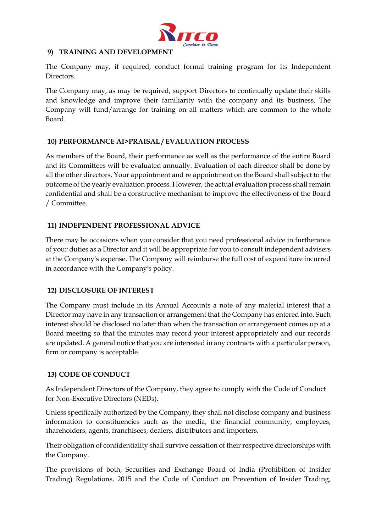

#### **9) TRAINING AND DEVELOPMENT**

The Company may, if required, conduct formal training program for its Independent Directors.

The Company may, as may be required, support Directors to continually update their skills and knowledge and improve their familiarity with the company and its business. The Company will fund/arrange for training on all matters which are common to the whole Board.

# **10) PERFORMANCE AI>PRAISAL / EVALUATION PROCESS**

As members of the Board, their performance as well as the performance of the entire Board and its Committees will be evaluated annually. Evaluation of each director shall be done by all the other directors. Your appointment and re appointment on the Board shall subject to the outcome of the yearly evaluation process. However, the actual evaluation process shall remain confidential and shall be a constructive mechanism to improve the effectiveness of the Board / Committee.

# **11) INDEPENDENT PROFESSIONAL ADVICE**

There may be occasions when you consider that you need professional advice in furtherance of your duties as a Director and it will be appropriate for you to consult independent advisers at the Company's expense. The Company will reimburse the full cost of expenditure incurred in accordance with the Company's policy.

# **12) DISCLOSURE OF INTEREST**

The Company must include in its Annual Accounts a note of any material interest that a Director may have in any transaction or arrangement that the Company has entered into. Such interest should be disclosed no later than when the transaction or arrangement comes up at a Board meeting so that the minutes may record your interest appropriately and our records are updated. A general notice that you are interested in any contracts with a particular person, firm or company is acceptable.

#### **13) CODE OF CONDUCT**

As Independent Directors of the Company, they agree to comply with the Code of Conduct for Non-Executive Directors (NEDs).

Unless specifically authorized by the Company, they shall not disclose company and business information to constituencies such as the media, the financial community, employees, shareholders, agents, franchisees, dealers, distributors and importers.

Their obligation of confidentiality shall survive cessation of their respective directorships with the Company.

The provisions of both, Securities and Exchange Board of India (Prohibition of Insider Trading) Regulations, 2015 and the Code of Conduct on Prevention of Insider Trading,